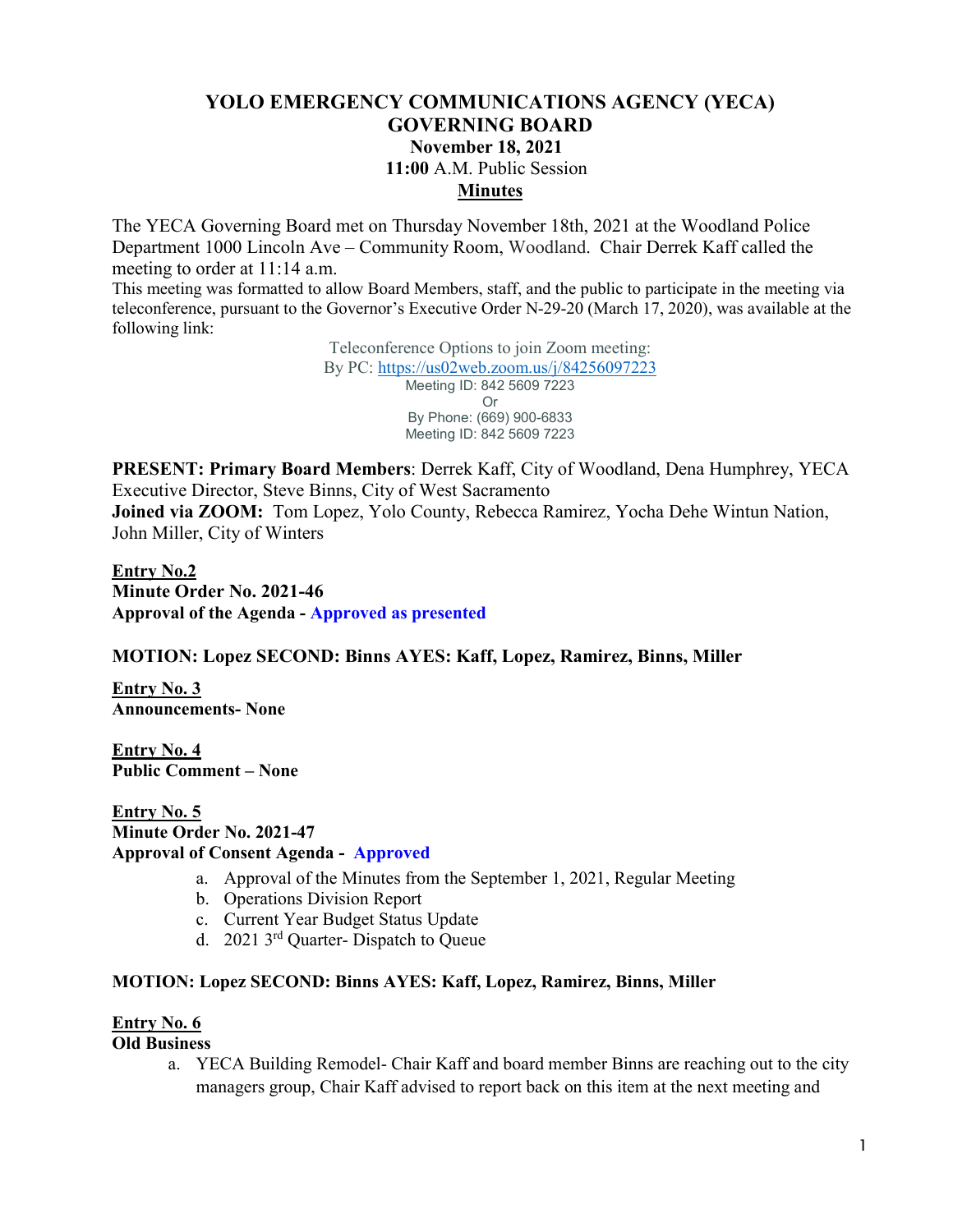# **YOLO EMERGENCY COMMUNICATIONS AGENCY (YECA) GOVERNING BOARD November 18, 2021 11:00** A.M. Public Session **Minutes**

The YECA Governing Board met on Thursday November 18th, 2021 at the Woodland Police Department 1000 Lincoln Ave – Community Room, Woodland. Chair Derrek Kaff called the meeting to order at 11:14 a.m.

This meeting was formatted to allow Board Members, staff, and the public to participate in the meeting via teleconference, pursuant to the Governor's Executive Order N-29-20 (March 17, 2020), was available at the following link:

> Teleconference Options to join Zoom meeting: By PC:<https://us02web.zoom.us/j/84256097223> Meeting ID: 842 5609 7223 Or By Phone: (669) 900-6833 Meeting ID: 842 5609 7223

**PRESENT: Primary Board Members**: Derrek Kaff, City of Woodland, Dena Humphrey, YECA Executive Director, Steve Binns, City of West Sacramento **Joined via ZOOM:** Tom Lopez, Yolo County, Rebecca Ramirez, Yocha Dehe Wintun Nation, John Miller, City of Winters

**Entry No.2 Minute Order No. 2021-46 Approval of the Agenda - Approved as presented**

## **MOTION: Lopez SECOND: Binns AYES: Kaff, Lopez, Ramirez, Binns, Miller**

**Entry No. 3 Announcements- None** 

**Entry No. 4 Public Comment – None**

**Entry No. 5 Minute Order No. 2021-47 Approval of Consent Agenda - Approved**

- a. Approval of the Minutes from the September 1, 2021, Regular Meeting
- b. Operations Division Report
- c. Current Year Budget Status Update
- d. 2021 3rd Quarter- Dispatch to Queue

## **MOTION: Lopez SECOND: Binns AYES: Kaff, Lopez, Ramirez, Binns, Miller**

## **Entry No. 6**

#### **Old Business**

a. YECA Building Remodel- Chair Kaff and board member Binns are reaching out to the city managers group, Chair Kaff advised to report back on this item at the next meeting and